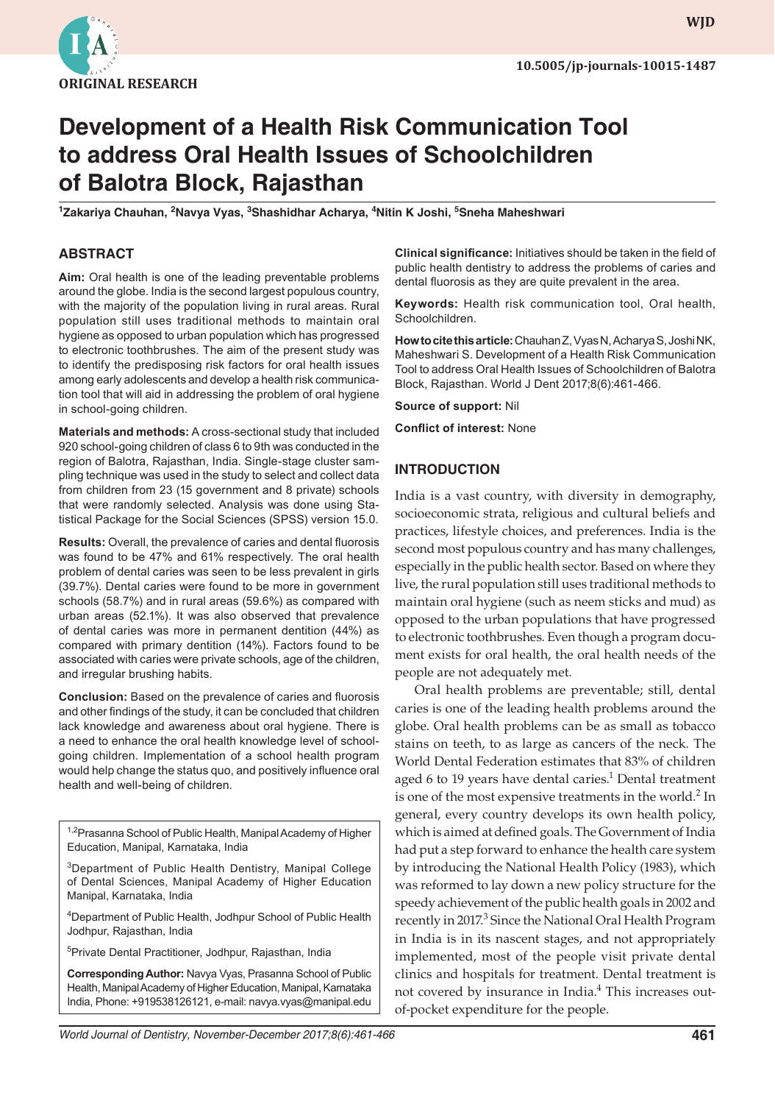

**wjd WJD**

# **Development of a Health Risk Communication Tool to address Oral Health Issues of Schoolchildren of Balotra Block, Rajasthan**

<sup>1</sup>Zakariya Chauhan, <sup>2</sup>Navya Vyas, <sup>3</sup>Shashidhar Acharya, <sup>4</sup>Nitin K Joshi, <sup>5</sup>Sneha Maheshwari

### **ABSTRACT**

**Aim:** Oral health is one of the leading preventable problems around the globe. India is the second largest populous country, with the majority of the population living in rural areas. Rural population still uses traditional methods to maintain oral hygiene as opposed to urban population which has progressed to electronic toothbrushes. The aim of the present study was to identify the predisposing risk factors for oral health issues among early adolescents and develop a health risk communication tool that will aid in addressing the problem of oral hygiene in school-going children.

**Materials and methods:** A cross-sectional study that included 920 school-going children of class 6 to 9th was conducted in the region of Balotra, Rajasthan, India. Single-stage cluster sampling technique was used in the study to select and collect data from children from 23 (15 government and 8 private) schools that were randomly selected. Analysis was done using Statistical Package for the Social Sciences (SPSS) version 15.0.

**Results:** Overall, the prevalence of caries and dental fluorosis was found to be 47% and 61% respectively. The oral health problem of dental caries was seen to be less prevalent in girls (39.7%). Dental caries were found to be more in government schools (58.7%) and in rural areas (59.6%) as compared with urban areas (52.1%). It was also observed that prevalence of dental caries was more in permanent dentition (44%) as compared with primary dentition (14%). Factors found to be associated with caries were private schools, age of the children, and irregular brushing habits.

**Conclusion:** Based on the prevalence of caries and fluorosis and other findings of the study, it can be concluded that children lack knowledge and awareness about oral hygiene. There is a need to enhance the oral health knowledge level of schoolgoing children. Implementation of a school health program would help change the status quo, and positively influence oral health and well-being of children.

<sup>1,2</sup>Prasanna School of Public Health, Manipal Academy of Higher Education, Manipal, Karnataka, India

<sup>3</sup>Department of Public Health Dentistry, Manipal College of Dental Sciences, Manipal Academy of Higher Education Manipal, Karnataka, India

4 Department of Public Health, Jodhpur School of Public Health Jodhpur, Rajasthan, India

5 Private Dental Practitioner, Jodhpur, Rajasthan, India

**Corresponding Author:** Navya Vyas, Prasanna School of Public Health, Manipal Academy of Higher Education, Manipal, Karnataka India, Phone: +919538126121, e-mail: navya.vyas@manipal.edu

**Clinical significance:** Initiatives should be taken in the field of public health dentistry to address the problems of caries and dental fluorosis as they are quite prevalent in the area.

**Keywords:** Health risk communication tool, Oral health, Schoolchildren.

**How to cite this article:** Chauhan Z, Vyas N, Acharya S, Joshi NK, Maheshwari S. Development of a Health Risk Communication Tool to address Oral Health Issues of Schoolchildren of Balotra Block, Rajasthan. World J Dent 2017;8(6):461-466.

**Source of support:** Nil

**Conflict of interest:** None

#### **INTRODUCTION**

India is a vast country, with diversity in demography, socioeconomic strata, religious and cultural beliefs and practices, lifestyle choices, and preferences. India is the second most populous country and has many challenges, especially in the public health sector. Based on where they live, the rural population still uses traditional methods to maintain oral hygiene (such as neem sticks and mud) as opposed to the urban populations that have progressed to electronic toothbrushes. Even though a program document exists for oral health, the oral health needs of the people are not adequately met.

Oral health problems are preventable; still, dental caries is one of the leading health problems around the globe. Oral health problems can be as small as tobacco stains on teeth, to as large as cancers of the neck. The World Dental Federation estimates that 83% of children aged 6 to 19 years have dental caries.<sup>1</sup> Dental treatment is one of the most expensive treatments in the world. $2$  In general, every country develops its own health policy, which is aimed at defined goals. The Government of India had put a step forward to enhance the health care system by introducing the National Health Policy (1983), which was reformed to lay down a new policy structure for the speedy achievement of the public health goals in 2002 and recently in 2017.<sup>3</sup> Since the National Oral Health Program in India is in its nascent stages, and not appropriately implemented, most of the people visit private dental clinics and hospitals for treatment. Dental treatment is not covered by insurance in India.<sup>4</sup> This increases outof-pocket expenditure for the people.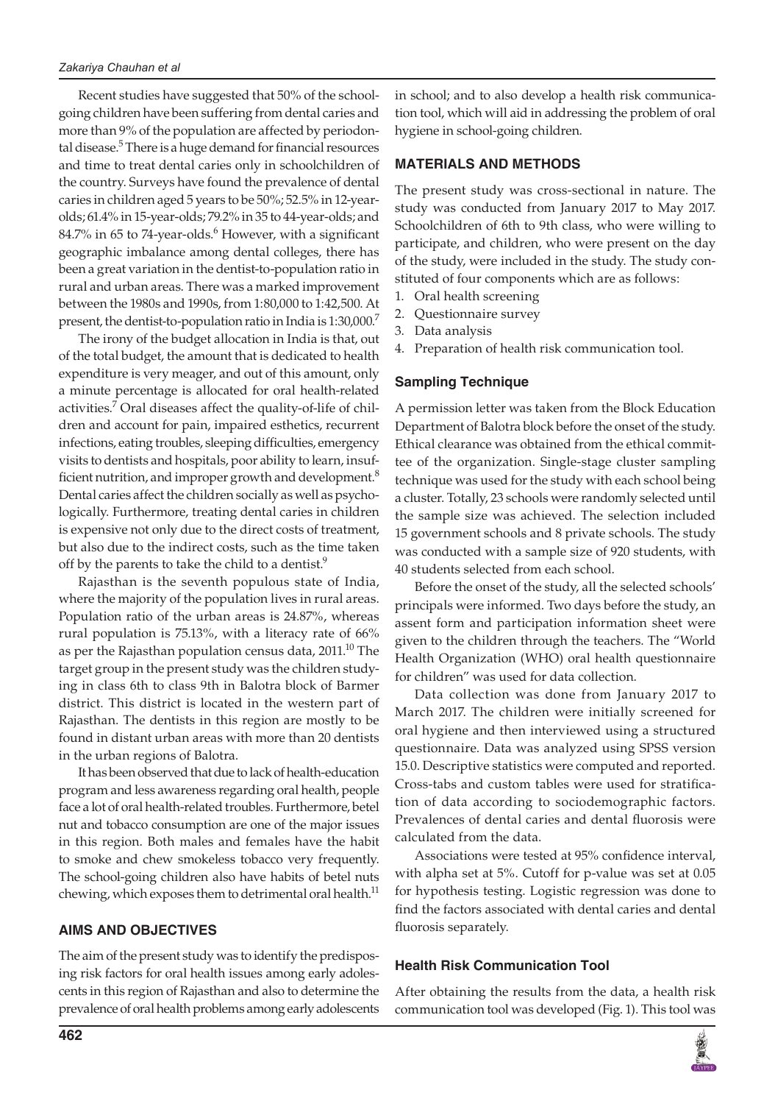Recent studies have suggested that 50% of the schoolgoing children have been suffering from dental caries and more than 9% of the population are affected by periodontal disease.<sup>5</sup> There is a huge demand for financial resources and time to treat dental caries only in schoolchildren of the country. Surveys have found the prevalence of dental caries in children aged 5 years to be 50%; 52.5% in 12-yearolds; 61.4% in 15-year-olds; 79.2% in 35 to 44-year-olds; and  $84.7\%$  in 65 to 74-year-olds. $^6$  However, with a significant geographic imbalance among dental colleges, there has been a great variation in the dentist-to-population ratio in rural and urban areas. There was a marked improvement between the 1980s and 1990s, from 1:80,000 to 1:42,500. At present, the dentist-to-population ratio in India is 1:30,000.<sup>7</sup>

The irony of the budget allocation in India is that, out of the total budget, the amount that is dedicated to health expenditure is very meager, and out of this amount, only a minute percentage is allocated for oral health-related activities.<sup>7</sup> Oral diseases affect the quality-of-life of children and account for pain, impaired esthetics, recurrent infections, eating troubles, sleeping difficulties, emergency visits to dentists and hospitals, poor ability to learn, insufficient nutrition, and improper growth and development. $8$ Dental caries affect the children socially as well as psychologically. Furthermore, treating dental caries in children is expensive not only due to the direct costs of treatment, but also due to the indirect costs, such as the time taken off by the parents to take the child to a dentist.<sup>9</sup>

Rajasthan is the seventh populous state of India, where the majority of the population lives in rural areas. Population ratio of the urban areas is 24.87%, whereas rural population is 75.13%, with a literacy rate of 66% as per the Rajasthan population census data, 2011.<sup>10</sup> The target group in the present study was the children studying in class 6th to class 9th in Balotra block of Barmer district. This district is located in the western part of Rajasthan. The dentists in this region are mostly to be found in distant urban areas with more than 20 dentists in the urban regions of Balotra.

It has been observed that due to lack of health-education program and less awareness regarding oral health, people face a lot of oral health-related troubles. Furthermore, betel nut and tobacco consumption are one of the major issues in this region. Both males and females have the habit to smoke and chew smokeless tobacco very frequently. The school-going children also have habits of betel nuts chewing, which exposes them to detrimental oral health.<sup>11</sup>

## **Aims and Objectives**

The aim of the present study was to identify the predisposing risk factors for oral health issues among early adolescents in this region of Rajasthan and also to determine the prevalence of oral health problems among early adolescents in school; and to also develop a health risk communication tool, which will aid in addressing the problem of oral hygiene in school-going children.

#### **MATERIALS AND METHODS**

The present study was cross-sectional in nature. The study was conducted from January 2017 to May 2017. Schoolchildren of 6th to 9th class, who were willing to participate, and children, who were present on the day of the study, were included in the study. The study constituted of four components which are as follows:

- 1. Oral health screening
- 2. Questionnaire survey
- 3. Data analysis
- 4. Preparation of health risk communication tool.

#### **Sampling Technique**

A permission letter was taken from the Block Education Department of Balotra block before the onset of the study. Ethical clearance was obtained from the ethical committee of the organization. Single-stage cluster sampling technique was used for the study with each school being a cluster. Totally, 23 schools were randomly selected until the sample size was achieved. The selection included 15 government schools and 8 private schools. The study was conducted with a sample size of 920 students, with 40 students selected from each school.

Before the onset of the study, all the selected schools' principals were informed. Two days before the study, an assent form and participation information sheet were given to the children through the teachers. The "World Health Organization (WHO) oral health questionnaire for children" was used for data collection.

Data collection was done from January 2017 to March 2017. The children were initially screened for oral hygiene and then interviewed using a structured questionnaire. Data was analyzed using SPSS version 15.0. Descriptive statistics were computed and reported. Cross-tabs and custom tables were used for stratification of data according to sociodemographic factors. Prevalences of dental caries and dental fluorosis were calculated from the data.

Associations were tested at 95% confidence interval, with alpha set at 5%. Cutoff for p-value was set at 0.05 for hypothesis testing. Logistic regression was done to find the factors associated with dental caries and dental fluorosis separately.

#### **Health Risk Communication Tool**

After obtaining the results from the data, a health risk communication tool was developed (Fig. 1). This tool was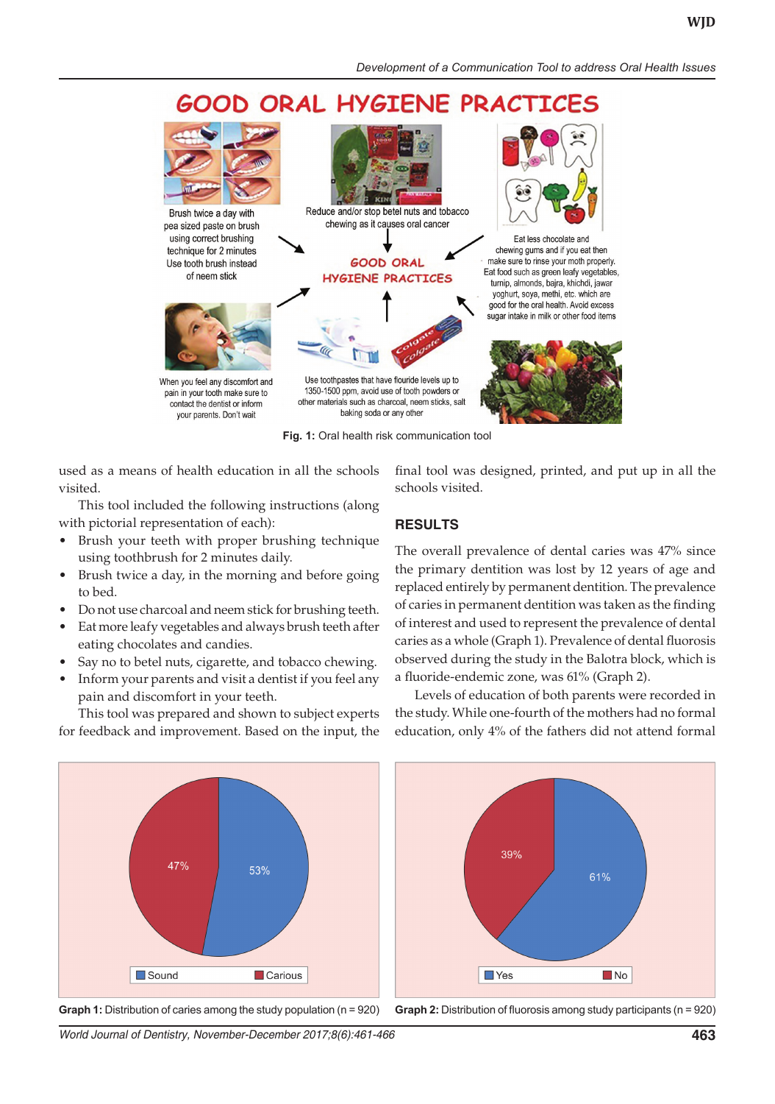# **GOOD ORAL HYGIENE PRACTICE**



**Fig. 1:** Oral health risk communication tool

used as a means of health education in all the schools visited.

This tool included the following instructions (along with pictorial representation of each):

- Brush your teeth with proper brushing technique using toothbrush for 2 minutes daily.
- Brush twice a day, in the morning and before going to bed.
- • Do not use charcoal and neem stick for brushing teeth.
- Eat more leafy vegetables and always brush teeth after eating chocolates and candies.
- Say no to betel nuts, cigarette, and tobacco chewing.
- Inform your parents and visit a dentist if you feel any pain and discomfort in your teeth.

This tool was prepared and shown to subject experts for feedback and improvement. Based on the input, the

final tool was designed, printed, and put up in all the schools visited.

#### **RESULTS**

The overall prevalence of dental caries was 47% since the primary dentition was lost by 12 years of age and replaced entirely by permanent dentition. The prevalence of caries in permanent dentition was taken as the finding of interest and used to represent the prevalence of dental caries as a whole (Graph 1). Prevalence of dental fluorosis observed during the study in the Balotra block, which is a fluoride-endemic zone, was 61% (Graph 2).

Levels of education of both parents were recorded in the study. While one-fourth of the mothers had no formal education, only 4% of the fathers did not attend formal



**Graph 1:** Distribution of caries among the study population (n = 920) **Graph 2:** Distribution of fluorosis among study participants (n = 920)



*World Journal of Dentistry, November-December 2017;8(6):461-466* **463**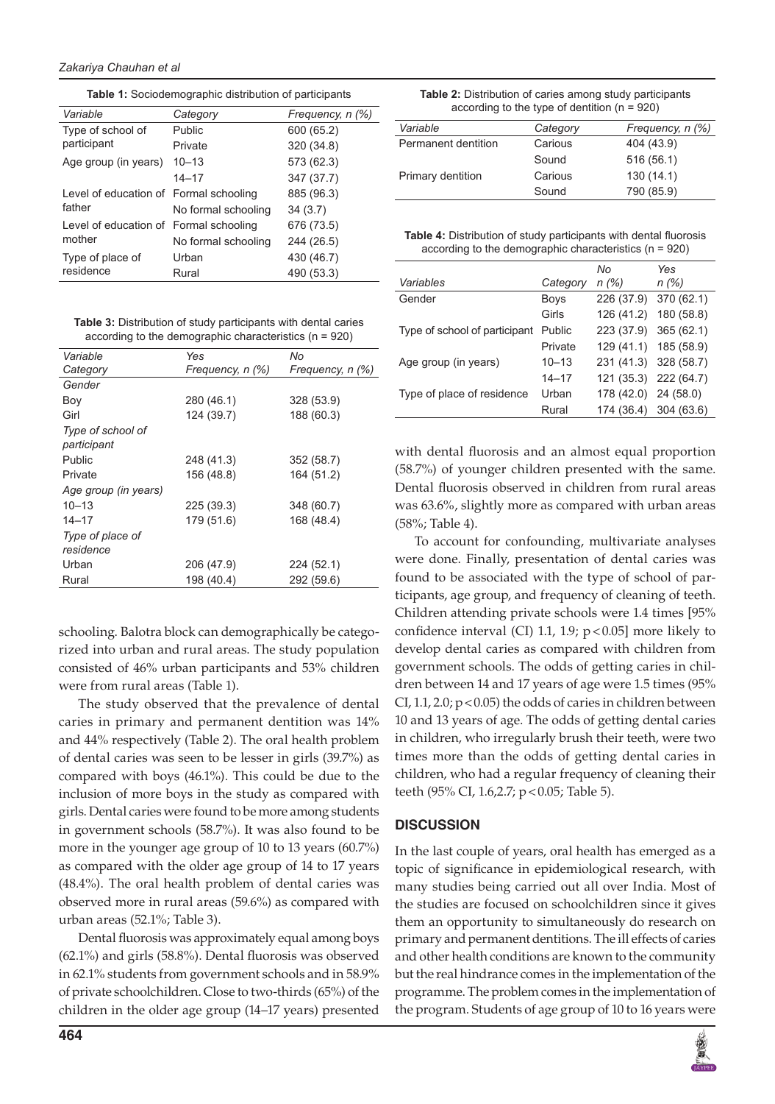**Table 1:** Sociodemographic distribution of participants

| Variable                                         | Category            | Frequency, n (%) |
|--------------------------------------------------|---------------------|------------------|
| Type of school of                                | Public              | 600 (65.2)       |
| participant                                      | Private             | 320 (34.8)       |
| Age group (in years)                             | $10 - 13$           | 573 (62.3)       |
|                                                  | $14 - 17$           | 347 (37.7)       |
| Level of education of Formal schooling<br>father |                     | 885 (96.3)       |
|                                                  | No formal schooling | 34(3.7)          |
| Level of education of Formal schooling           |                     | 676 (73.5)       |
| mother                                           | No formal schooling | 244 (26.5)       |
| Type of place of<br>residence                    | Urban               | 430 (46.7)       |
|                                                  | Rural               | 490 (53.3)       |

**Table 3:** Distribution of study participants with dental caries according to the demographic characteristics (n = 920)

| Variable                         | Yes              | No               |
|----------------------------------|------------------|------------------|
| Category                         | Frequency, n (%) | Frequency, n (%) |
| Gender                           |                  |                  |
| Boy                              | 280 (46.1)       | 328 (53.9)       |
| Girl                             | 124 (39.7)       | 188 (60.3)       |
| Type of school of<br>participant |                  |                  |
| Public                           | 248 (41.3)       | 352 (58.7)       |
| Private                          | 156 (48.8)       | 164 (51.2)       |
| Age group (in years)             |                  |                  |
| $10 - 13$                        | 225 (39.3)       | 348 (60.7)       |
| $14 - 17$                        | 179 (51.6)       | 168 (48.4)       |
| Type of place of<br>residence    |                  |                  |
| Urban                            | 206 (47.9)       | 224 (52.1)       |
| Rural                            | 198 (40.4)       | 292 (59.6)       |
|                                  |                  |                  |

schooling. Balotra block can demographically be categorized into urban and rural areas. The study population consisted of 46% urban participants and 53% children were from rural areas (Table 1).

The study observed that the prevalence of dental caries in primary and permanent dentition was 14% and 44% respectively (Table 2). The oral health problem of dental caries was seen to be lesser in girls (39.7%) as compared with boys (46.1%). This could be due to the inclusion of more boys in the study as compared with girls. Dental caries were found to be more among students in government schools (58.7%). It was also found to be more in the younger age group of 10 to 13 years (60.7%) as compared with the older age group of 14 to 17 years (48.4%). The oral health problem of dental caries was observed more in rural areas (59.6%) as compared with urban areas (52.1%; Table 3).

Dental fluorosis was approximately equal among boys (62.1%) and girls (58.8%). Dental fluorosis was observed in 62.1% students from government schools and in 58.9% of private schoolchildren. Close to two-thirds (65%) of the children in the older age group (14–17 years) presented

**Table 2:** Distribution of caries among study participants according to the type of dentition (n = 920)

| Variable            | Category | Frequency, n (%) |
|---------------------|----------|------------------|
| Permanent dentition | Carious  | 404 (43.9)       |
|                     | Sound    | 516 (56.1)       |
| Primary dentition   | Carious  | 130(14.1)        |
|                     | Sound    | 790 (85.9)       |

**Table 4:** Distribution of study participants with dental fluorosis according to the demographic characteristics (n = 920)

|                               |             | No                    | Yes                   |
|-------------------------------|-------------|-----------------------|-----------------------|
| Variables                     | Category    | n (%)                 | n(%)                  |
| Gender                        | <b>Boys</b> | 226 (37.9)            | 370 (62.1)            |
|                               | Girls       | 126 (41.2)            | 180 (58.8)            |
| Type of school of participant | Public      | 223 (37.9)            | 365(62.1)             |
|                               | Private     |                       | 129 (41.1) 185 (58.9) |
| Age group (in years)          | $10 - 13$   | 231 (41.3) 328 (58.7) |                       |
|                               | $14 - 17$   | 121 (35.3) 222 (64.7) |                       |
| Type of place of residence    | Urban       | 178 (42.0) 24 (58.0)  |                       |
|                               | Rural       | 174 (36.4)            | 304 (63.6)            |

with dental fluorosis and an almost equal proportion (58.7%) of younger children presented with the same. Dental fluorosis observed in children from rural areas was 63.6%, slightly more as compared with urban areas (58%; Table 4).

To account for confounding, multivariate analyses were done. Finally, presentation of dental caries was found to be associated with the type of school of participants, age group, and frequency of cleaning of teeth. Children attending private schools were 1.4 times [95% confidence interval (CI) 1.1, 1.9;  $p < 0.05$ ] more likely to develop dental caries as compared with children from government schools. The odds of getting caries in children between 14 and 17 years of age were 1.5 times (95% CI,  $1.1$ ,  $2.0$ ;  $p < 0.05$ ) the odds of caries in children between 10 and 13 years of age. The odds of getting dental caries in children, who irregularly brush their teeth, were two times more than the odds of getting dental caries in children, who had a regular frequency of cleaning their teeth (95% CI, 1.6,2.7; p < 0.05; Table 5).

## **DISCUSSION**

In the last couple of years, oral health has emerged as a topic of significance in epidemiological research, with many studies being carried out all over India. Most of the studies are focused on schoolchildren since it gives them an opportunity to simultaneously do research on primary and permanent dentitions. The ill effects of caries and other health conditions are known to the community but the real hindrance comes in the implementation of the programme. The problem comes in the implementation of the program. Students of age group of 10 to 16 years were

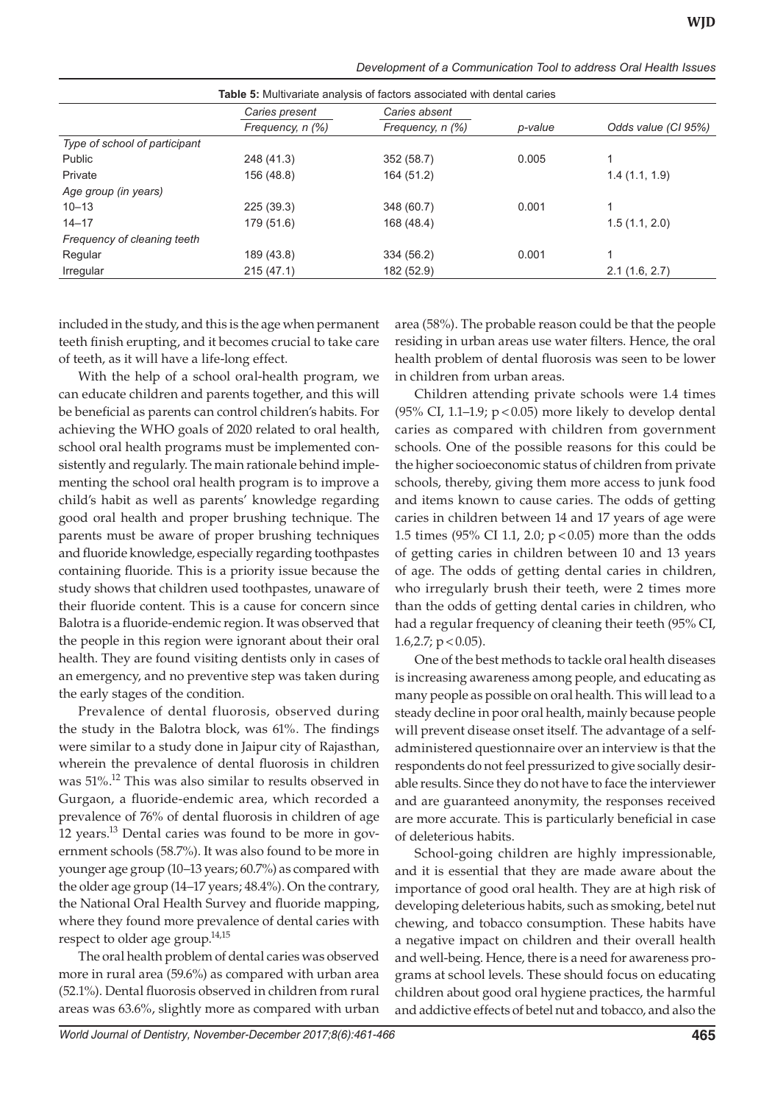| <b>Table 5:</b> Multivariate analysis of factors associated with dental caries |                  |                  |         |                     |
|--------------------------------------------------------------------------------|------------------|------------------|---------|---------------------|
|                                                                                | Caries present   | Caries absent    |         |                     |
|                                                                                | Frequency, n (%) | Frequency, n (%) | p-value | Odds value (CI 95%) |
| Type of school of participant                                                  |                  |                  |         |                     |
| Public                                                                         | 248 (41.3)       | 352 (58.7)       | 0.005   |                     |
| Private                                                                        | 156 (48.8)       | 164 (51.2)       |         | 1.4(1.1, 1.9)       |
| Age group (in years)                                                           |                  |                  |         |                     |
| $10 - 13$                                                                      | 225 (39.3)       | 348 (60.7)       | 0.001   |                     |
| $14 - 17$                                                                      | 179 (51.6)       | 168 (48.4)       |         | 1.5(1.1, 2.0)       |
| Frequency of cleaning teeth                                                    |                  |                  |         |                     |
| Regular                                                                        | 189 (43.8)       | 334 (56.2)       | 0.001   |                     |
| Irregular                                                                      | 215(47.1)        | 182 (52.9)       |         | 2.1(1.6, 2.7)       |

*Development of a Communication Tool to address Oral Health Issues*

included in the study, and this is the age when permanent teeth finish erupting, and it becomes crucial to take care of teeth, as it will have a life-long effect.

With the help of a school oral-health program, we can educate children and parents together, and this will be beneficial as parents can control children's habits. For achieving the WHO goals of 2020 related to oral health, school oral health programs must be implemented consistently and regularly. The main rationale behind implementing the school oral health program is to improve a child's habit as well as parents' knowledge regarding good oral health and proper brushing technique. The parents must be aware of proper brushing techniques and fluoride knowledge, especially regarding toothpastes containing fluoride. This is a priority issue because the study shows that children used toothpastes, unaware of their fluoride content. This is a cause for concern since Balotra is a fluoride-endemic region. It was observed that the people in this region were ignorant about their oral health. They are found visiting dentists only in cases of an emergency, and no preventive step was taken during the early stages of the condition.

Prevalence of dental fluorosis, observed during the study in the Balotra block, was 61%. The findings were similar to a study done in Jaipur city of Rajasthan, wherein the prevalence of dental fluorosis in children was 51%.12 This was also similar to results observed in Gurgaon, a fluoride-endemic area, which recorded a prevalence of 76% of dental fluorosis in children of age 12 years.<sup>13</sup> Dental caries was found to be more in government schools (58.7%). It was also found to be more in younger age group (10–13 years; 60.7%) as compared with the older age group (14–17 years; 48.4%). On the contrary, the National Oral Health Survey and fluoride mapping, where they found more prevalence of dental caries with respect to older age group.<sup>14,15</sup>

The oral health problem of dental caries was observed more in rural area (59.6%) as compared with urban area (52.1%). Dental fluorosis observed in children from rural areas was 63.6%, slightly more as compared with urban area (58%). The probable reason could be that the people residing in urban areas use water filters. Hence, the oral health problem of dental fluorosis was seen to be lower in children from urban areas.

Children attending private schools were 1.4 times (95% CI, 1.1-1.9;  $p < 0.05$ ) more likely to develop dental caries as compared with children from government schools. One of the possible reasons for this could be the higher socioeconomic status of children from private schools, thereby, giving them more access to junk food and items known to cause caries. The odds of getting caries in children between 14 and 17 years of age were 1.5 times (95% CI 1.1, 2.0;  $p < 0.05$ ) more than the odds of getting caries in children between 10 and 13 years of age. The odds of getting dental caries in children, who irregularly brush their teeth, were 2 times more than the odds of getting dental caries in children, who had a regular frequency of cleaning their teeth (95% CI, 1.6,2.7;  $p < 0.05$ ).

One of the best methods to tackle oral health diseases is increasing awareness among people, and educating as many people as possible on oral health. This will lead to a steady decline in poor oral health, mainly because people will prevent disease onset itself. The advantage of a selfadministered questionnaire over an interview is that the respondents do not feel pressurized to give socially desirable results. Since they do not have to face the interviewer and are guaranteed anonymity, the responses received are more accurate. This is particularly beneficial in case of deleterious habits.

School-going children are highly impressionable, and it is essential that they are made aware about the importance of good oral health. They are at high risk of developing deleterious habits, such as smoking, betel nut chewing, and tobacco consumption. These habits have a negative impact on children and their overall health and well-being. Hence, there is a need for awareness programs at school levels. These should focus on educating children about good oral hygiene practices, the harmful and addictive effects of betel nut and tobacco, and also the